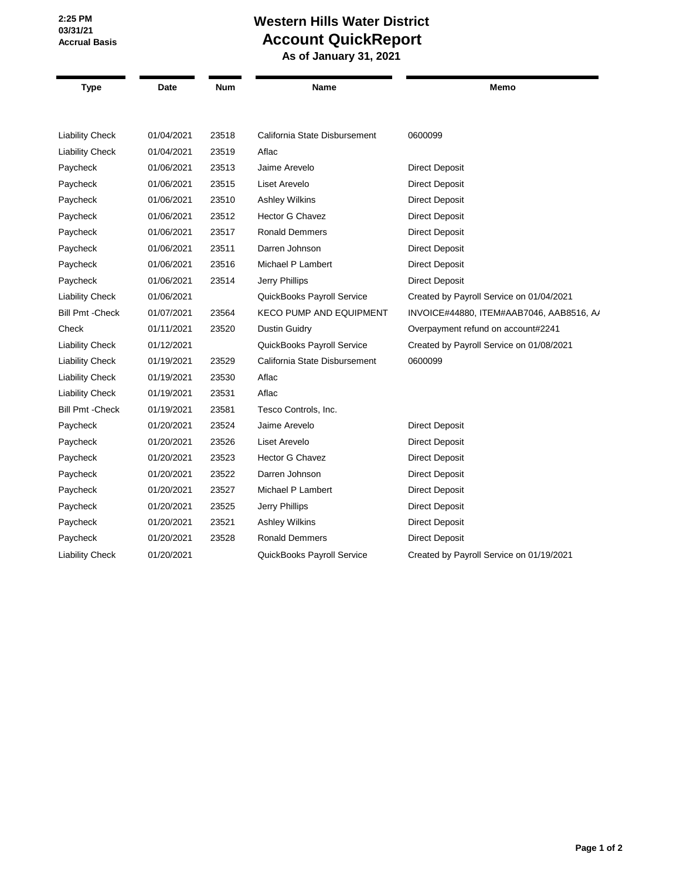**2:25 PM 03/31/21 Accrual Basis**

## **Western Hills Water District Account QuickReport**

 **As of January 31, 2021**

| <b>Type</b>             | Date       | <b>Num</b> | Name                           | Memo                                     |
|-------------------------|------------|------------|--------------------------------|------------------------------------------|
|                         |            |            |                                |                                          |
| <b>Liability Check</b>  | 01/04/2021 | 23518      | California State Disbursement  | 0600099                                  |
| <b>Liability Check</b>  | 01/04/2021 | 23519      | Aflac                          |                                          |
| Paycheck                | 01/06/2021 | 23513      | Jaime Arevelo                  | <b>Direct Deposit</b>                    |
| Paycheck                | 01/06/2021 | 23515      | Liset Arevelo                  | <b>Direct Deposit</b>                    |
| Paycheck                | 01/06/2021 | 23510      | <b>Ashley Wilkins</b>          | <b>Direct Deposit</b>                    |
| Paycheck                | 01/06/2021 | 23512      | <b>Hector G Chavez</b>         | <b>Direct Deposit</b>                    |
| Paycheck                | 01/06/2021 | 23517      | <b>Ronald Demmers</b>          | <b>Direct Deposit</b>                    |
| Paycheck                | 01/06/2021 | 23511      | Darren Johnson                 | <b>Direct Deposit</b>                    |
| Paycheck                | 01/06/2021 | 23516      | Michael P Lambert              | <b>Direct Deposit</b>                    |
| Paycheck                | 01/06/2021 | 23514      | Jerry Phillips                 | <b>Direct Deposit</b>                    |
| <b>Liability Check</b>  | 01/06/2021 |            | QuickBooks Payroll Service     | Created by Payroll Service on 01/04/2021 |
| <b>Bill Pmt - Check</b> | 01/07/2021 | 23564      | <b>KECO PUMP AND EQUIPMENT</b> | INVOICE#44880, ITEM#AAB7046, AAB8516, A/ |
| Check                   | 01/11/2021 | 23520      | Dustin Guidry                  | Overpayment refund on account#2241       |
| <b>Liability Check</b>  | 01/12/2021 |            | QuickBooks Payroll Service     | Created by Payroll Service on 01/08/2021 |
| <b>Liability Check</b>  | 01/19/2021 | 23529      | California State Disbursement  | 0600099                                  |
| <b>Liability Check</b>  | 01/19/2021 | 23530      | Aflac                          |                                          |
| <b>Liability Check</b>  | 01/19/2021 | 23531      | Aflac                          |                                          |
| <b>Bill Pmt - Check</b> | 01/19/2021 | 23581      | Tesco Controls, Inc.           |                                          |
| Paycheck                | 01/20/2021 | 23524      | Jaime Arevelo                  | <b>Direct Deposit</b>                    |
| Paycheck                | 01/20/2021 | 23526      | Liset Arevelo                  | <b>Direct Deposit</b>                    |
| Paycheck                | 01/20/2021 | 23523      | Hector G Chavez                | <b>Direct Deposit</b>                    |
| Paycheck                | 01/20/2021 | 23522      | Darren Johnson                 | <b>Direct Deposit</b>                    |
| Paycheck                | 01/20/2021 | 23527      | Michael P Lambert              | <b>Direct Deposit</b>                    |
| Paycheck                | 01/20/2021 | 23525      | Jerry Phillips                 | <b>Direct Deposit</b>                    |
| Paycheck                | 01/20/2021 | 23521      | <b>Ashley Wilkins</b>          | <b>Direct Deposit</b>                    |
| Paycheck                | 01/20/2021 | 23528      | <b>Ronald Demmers</b>          | <b>Direct Deposit</b>                    |
| <b>Liability Check</b>  | 01/20/2021 |            | QuickBooks Payroll Service     | Created by Payroll Service on 01/19/2021 |